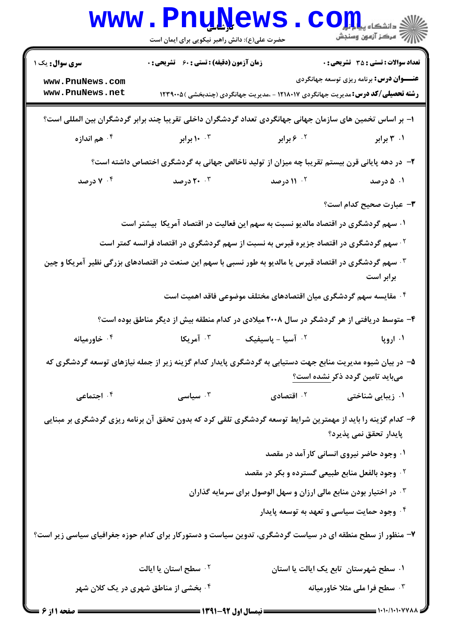|                                                                                                                                       | <b>WWW . FUUTAEMP</b><br>حضرت علی(ع): دانش راهبر نیکویی برای ایمان است |                                                                                                                       | دانشکا ہ پ <b>یا با بار</b><br>راز آمرڪز آزمون وسنڊش |
|---------------------------------------------------------------------------------------------------------------------------------------|------------------------------------------------------------------------|-----------------------------------------------------------------------------------------------------------------------|------------------------------------------------------|
| <b>سری سوال :</b> یک ۱                                                                                                                | <b>زمان آزمون (دقیقه) : تستی : 60 ٪ تشریحی : 0</b>                     |                                                                                                                       | <b>تعداد سوالات : تستی : 35 - تشریحی : 0</b>         |
| www.PnuNews.com<br>www.PnuNews.net                                                                                                    |                                                                        | <b>رشته تحصیلی/کد درس:</b> مدیریت جهانگردی ۱۲۱۸۰۱۷ - ،مدیریت جهانگردی (چندبخشی )۱۲۳۹۰۰۵                               | <b>عنـــوان درس:</b> برنامه ریزی توسعه جهانگردی      |
| ا– بر اساس تخمین های سازمان جهانی جهانگردی تعداد گردشگران داخلی تقریبا چند برابر گردشگران بین المللی است؟                             |                                                                        |                                                                                                                       |                                                      |
| ۰۴ هم اندازه                                                                                                                          | ۰۰ ۱۰ برابر                                                            | <b>7. ۶ برابر</b>                                                                                                     | ۰۱ ۳ برابر                                           |
| ۲– در دهه پایانی قرن بیستم تقریبا چه میزان از تولید ناخالص جهانی به گردشگری اختصاص داشته است؟                                         |                                                                        |                                                                                                                       |                                                      |
| ۰۴ درصد                                                                                                                               | <b>۲۰</b> ۲۰ درصد                                                      | <b>10- ۱۱ درصد</b>                                                                                                    | ۰۱ ۵ درصد                                            |
|                                                                                                                                       |                                                                        |                                                                                                                       | <b>۳</b> – عبارت صحیح کدام است؟                      |
|                                                                                                                                       |                                                                        | ۰۱ سهم گردشگری در اقتصاد مالدیو نسبت به سهم این فعالیت در اقتصاد آمریکا ۖ بیشتر است                                   |                                                      |
|                                                                                                                                       |                                                                        | <sup>۲ .</sup> سهم گردشگری در اقتصاد جزیره قبرس به نسبت از سهم گردشگری در اقتصاد فرانسه کمتر است                      |                                                      |
|                                                                                                                                       |                                                                        | ۰ <sup>۳ س</sup> هم گردشگری در اقتصاد قبرس یا مالدیو به طور نسبی با سهم این صنعت در اقتصادهای بزرگی نظیر آمریکا و چین | برابر است                                            |
|                                                                                                                                       |                                                                        | ۰۴ مقایسه سهم گردشگری میان اقتصادهای مختلف موضوعی فاقد اهمیت است                                                      |                                                      |
| ۴- متوسط دریافتی از هر گردشگر در سال ۲۰۰۸ میلادی در کدام منطقه بیش از دیگر مناطق بوده است؟                                            |                                                                        |                                                                                                                       |                                                      |
| ۰ <sup>۴</sup> خاورمیانه                                                                                                              | ۰ <sup>۳</sup> آمریکا                                                  | $5 - 1$ آسیا $-$ پاسیفیک                                                                                              | ۰۱ اروپا                                             |
|                                                                                                                                       |                                                                        | ۵– در بیان شیوه مدیریت منابع جهت دستیابی به گردشگری پایدار کدام گزینه زیر از جمله نیازهای توسعه گردشگری که            | میباید تامین گردد ذکر <u>نشده است؟</u>               |
| ۰ <sup>۴</sup> اجتماعی                                                                                                                | سیاسی $\cdot$                                                          |                                                                                                                       | ۰۱ زیبایی شناختی مسلمهای اقتصادی <mark>(</mark>      |
| ۶– کدام گزینه را باید از مهمترین شرایط توسعه گردشگری تلقی کرد که بدون تحقق آن برنامه ریزی گردشگری بر مبنایی<br>پایدار تحقق نمی پذیرد؟ |                                                                        |                                                                                                                       |                                                      |
|                                                                                                                                       |                                                                        |                                                                                                                       | ۰۱ وجود حاضر نیروی انسانی کار آمد در مقصد            |
|                                                                                                                                       |                                                                        | ۰۲ وجود بالفعل منابع طبیعی گسترده و بکر در مقصد                                                                       |                                                      |
|                                                                                                                                       |                                                                        | ۰۳ در اختیار بودن منابع مالی ارزان و سهل الوصول برای سرمایه گذاران                                                    |                                                      |
|                                                                                                                                       |                                                                        |                                                                                                                       | ۰۴ وجود حمایت سیاسی و تعهد به توسعه پایدار           |
| ۷– منظور از سطح منطقه ای در سیاست گردشگری، تدوین سیاست و دستورکار برای کدام حوزه جغرافیای سیاسی زیر است؟                              |                                                                        |                                                                                                                       |                                                      |
|                                                                                                                                       | ۰۲ سطح استان یا ایالت                                                  |                                                                                                                       | ۰۱ سطح شهرستان ِ تابع یک ایالت یا استان              |
|                                                                                                                                       | ۰۴ بخشی از مناطق شهری در یک کلان شهر                                   |                                                                                                                       | ۰۳ سطح فرا ملی مثلا خاورمیانه                        |
| <b>= صفحه ۱ از ۶ =</b>                                                                                                                |                                                                        |                                                                                                                       |                                                      |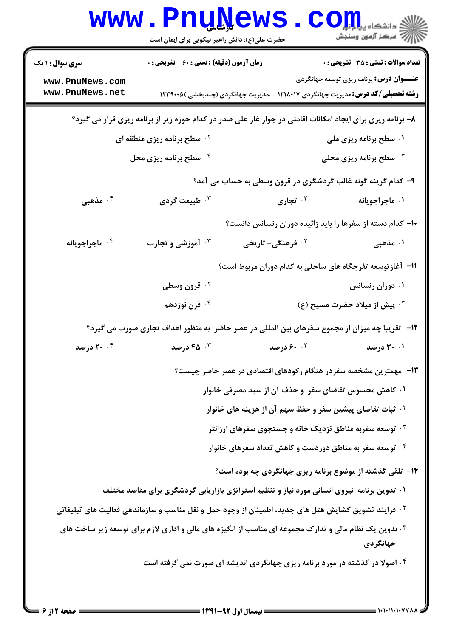|                                    | <b>WWW.PNUNEWS</b><br>حضرت علی(ع): دانش راهبر نیکویی برای ایمان است                                                |                               | $\mathbf{CO}_{\mathbf{H}}$ انشکاه پی<br>أآآآآ مركز آزمون وسنجش        |
|------------------------------------|--------------------------------------------------------------------------------------------------------------------|-------------------------------|-----------------------------------------------------------------------|
| <b>سری سوال : ۱ یک</b>             | <b>زمان آزمون (دقیقه) : تستی : 60 ٪ تشریحی : 0</b>                                                                 |                               | تعداد سوالات : تستى : 35 تشريحي : 0                                   |
| www.PnuNews.com<br>www.PnuNews.net | <b>رشته تحصیلی/کد درس:</b> مدیریت جهانگردی ۱۲۱۸۰۱۷ - ،مدیریت جهانگردی (چندبخشی ) ۱۲۳۹۰۰۵                           |                               | <b>عنـــوان درس:</b> برنامه ریزی توسعه جهانگردی                       |
|                                    | ۸– برنامه ریزی برای ایجاد امکانات اقامتی در جوار غار علی صدر در کدام حوزه زیر از برنامه ریزی قرار می گیرد؟         |                               |                                                                       |
|                                    | <b>10 سطح برنامه ریزی منطقه ای</b>                                                                                 |                               | ۰۱ سطح برنامه ریزی ملی                                                |
|                                    | ۰۴ سطح برنامه ریزی محل                                                                                             |                               | <b>۰۳ سطح برنامه ریزی محلی</b>                                        |
|                                    |                                                                                                                    |                               | ۹- کدام گزینه گونه غالب گردشگری در قرون وسطی به حساب می آمد؟          |
| ۰۴ مذهبی                           | ۰۳ طبیعت گردی                                                                                                      | ۰ <sup>۲</sup> تجاری          | ۰۱ ماجراجویانه                                                        |
|                                    |                                                                                                                    |                               | ۱۰– کدام دسته از سفرها را باید زائیده دوران رنسانس دانست؟             |
| ۰۴ ماجراجويانه                     | <b>۰۳ آموزشی و تجارت</b>                                                                                           | ۰ <sup>۲</sup> فرهنگی- تاریخی | ۰۱ مذهبی                                                              |
|                                    |                                                                                                                    |                               | ۱۱– آغاز توسعه تفرجگاه های ساحلی به کدام دوران مربوط است؟             |
|                                    | ۰ <sup>۲</sup> قرون وسطی                                                                                           |                               | ۰۱ دوران رنسانس                                                       |
|                                    | ۰۴ قرن نوزدهم                                                                                                      |                               | $(3)$ پیش از میلاد حضرت مسیح $\cdot^7$                                |
|                                    | ۱۲-۔ تقریبا چه میزان از مجموع سفرهای بین المللی در عصر حاضر به منظور اهداف تجاری صورت می گیرد؟                     |                               |                                                                       |
| <b>۲۰</b> ۰۴ درصد                  | <b>۴۵</b> درصد                                                                                                     | <b>۶۰</b> . ۶۰ درصد           | ۰۱ ۳۰ درصد                                                            |
|                                    |                                                                                                                    |                               | ۱۳- مهمترین مشخصه سفردر هنگام رکودهای اقتصادی در عصر حاضر چیست؟       |
|                                    |                                                                                                                    |                               | ۰۱ کاهش محسوس تقاضای سفر ۖ و حذف آن از سبد مصرفی خانوار               |
|                                    |                                                                                                                    |                               | <sup>۲</sup> ۰ ثبات تقاضای پیشین سفر و حفظ سهم آن از هزینه های خانوار |
|                                    |                                                                                                                    |                               | توسعه سفربه مناطق نزدیک خانه و جستجوی سفرهای ارزانتر "                |
|                                    |                                                                                                                    |                               | ۰ <sup>۴</sup> توسعه سفر به مناطق دوردست و کاهش تعداد سفرهای خانوار   |
|                                    |                                                                                                                    |                               | ۱۴- تلقی گذشته از موضوع برنامه ریزی جهانگردی چه بوده است؟             |
|                                    | ۰۱ تدوین برنامه نیروی انسانی مورد نیاز و تنظیم استراتژی بازاریابی گردشگری برای مقاصد مختلف                         |                               |                                                                       |
|                                    | <sup>۲</sup> ۰ فرایند تشویق گشایش هتل های جدید، اطمینان از وجود حمل و نقل مناسب و سازماندهی فعالیت های تبلیغاتی    |                               |                                                                       |
|                                    | ۰ <sup>۳ ت</sup> دوین یک نظام مالی و تدارک مجموعه ای مناسب از انگیزه های مالی و اداری لازم برای توسعه زیر ساخت های |                               |                                                                       |
|                                    | ۰۴ اصولا در گذشته در مورد برنامه ریزی جهانگردی اندیشه ای صورت نمی گرفته است                                        |                               | جهانگردي                                                              |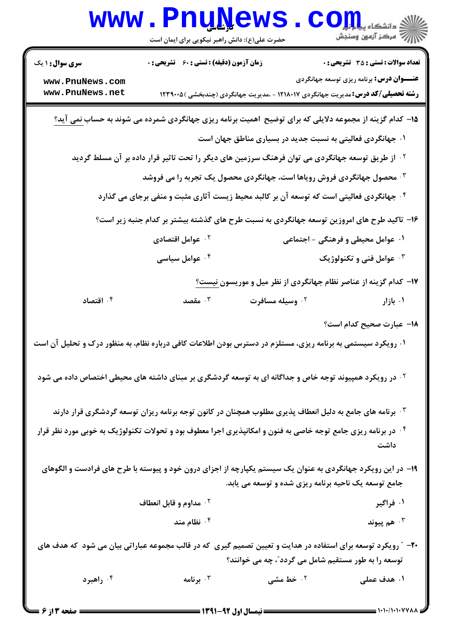| <b>WWW</b>                                                                                                                       | حضرت علی(ع): دانش راهبر نیکویی برای ایمان است | <u>I UTAC M D</u>                                                                                              | ک دانشکاه پ <b>یا ب<sup>ا</sup>¤ت</b><br>ر آمرڪز آزمون وسنڊش                                  |
|----------------------------------------------------------------------------------------------------------------------------------|-----------------------------------------------|----------------------------------------------------------------------------------------------------------------|-----------------------------------------------------------------------------------------------|
| <b>سری سوال : ۱ یک</b><br>www.PnuNews.com                                                                                        | زمان آزمون (دقیقه) : تستی : 60 گشریحی : 0     |                                                                                                                | <b>تعداد سوالات : تستی : 35 تشریحی : 0</b><br><b>عنـــوان درس:</b> برنامه ریزی توسعه جهانگردی |
| www.PnuNews.net                                                                                                                  |                                               | <b>رشته تحصیلی/کد درس:</b> مدیریت جهانگردی ۱۲۱۸۰۱۷ - ،مدیریت جهانگردی (چندبخشی ) ۱۲۳۹۰۰۵                       |                                                                                               |
|                                                                                                                                  |                                               | ۱۵– کدام گزینه از مجموعه دلایلی که برای توضیح اهمیت برنامه ریزی جهانگردی شمرده می شوند به حساب <u>نمی</u> آید؟ |                                                                                               |
|                                                                                                                                  |                                               | ۰۱ جهانگردی فعالیتی به نسبت جدید در بسیاری مناطق جهان است                                                      |                                                                                               |
|                                                                                                                                  |                                               | <sup>۲ .</sup> از طریق توسعه جهانگردی می توان فرهنگ سرزمین های دیگر را تحت تاثیر قرار داده بر آن مسلط گردید    |                                                                                               |
|                                                                                                                                  |                                               | <b>۰۳ محصول جهانگردی فروش رویاها است، جهانگردی محصول یک تجربه را می فروشد</b>                                  |                                                                                               |
| <sup>۰۴</sup> جهانگردی فعالیتی است که توسعه آن بر کالبد محیط زیست آثاری مثبت و منفی برجای می گذارد                               |                                               |                                                                                                                |                                                                                               |
|                                                                                                                                  |                                               | ۱۶– تاکید طرح های امروزین توسعه جهانگردی به نسبت طرح های گذشته بیشتر بر کدام جنبه زیر است؟                     |                                                                                               |
|                                                                                                                                  | ۰ <sup>۲</sup> عوامل اقتصادی                  |                                                                                                                | ۰۱ عوامل محیطی و فرهنگی - اجتماعی                                                             |
|                                                                                                                                  | ۰۴ عوامل سیاسی                                |                                                                                                                | ۰۳ عوامل فنی و تکنولوژیک                                                                      |
|                                                                                                                                  |                                               | ۱۷- کدام گزینه از عناصر نظام جهانگردی از نظر میل و موریسون نیست؟                                               |                                                                                               |
| اقتصاد $\cdot$ أ                                                                                                                 | هقصد $\cdot$ $^{\circ}$                       | ۰ <sup>۲</sup> وسیله مسافرت                                                                                    | ۰۱ بازار                                                                                      |
|                                                                                                                                  |                                               |                                                                                                                | 1۸– عبارت صحیح کدام است؟                                                                      |
| ۰۱ رویکرد سیستمی به برنامه ریزی، مستلزم در دسترس بودن اطلاعات کافی درباره نظام، به منظور درک و تحلیل آن است                      |                                               |                                                                                                                |                                                                                               |
| <sup>۲ .</sup> در رویکرد همپیوند توجه خاص و جداگانه ای به توسعه گردشگری بر مبنای داشته های محیطی اختصاص داده می شود              |                                               |                                                                                                                |                                                                                               |
|                                                                                                                                  |                                               | ۰۳ برنامه های جامع به دلیل انعطاف پذیری مطلوب همچنان در کانون توجه برنامه ریزان توسعه گردشگری قرار دارند       |                                                                                               |
| <sup>۰۴</sup> در برنامه ریزی جامع توجه خاصی به فنون و امکانپذیری اجرا معطوف بود و تحولات تکنولوژیک به خوبی مورد نظر قرار<br>داشت |                                               |                                                                                                                |                                                                                               |
|                                                                                                                                  |                                               | ۱۹- در این رویکرد جهانگردی به عنوان یک سیستم یکپارچه از اجزای درون خود و پیوسته با طرح های فرادست و الگوهای    |                                                                                               |
|                                                                                                                                  |                                               | جامع توسعه یک ناحیه برنامه ریزی شده و توسعه می یابد.                                                           |                                                                                               |
|                                                                                                                                  | ۰ <sup>۲</sup> مداوم و قابل انعطاف            |                                                                                                                | ۰۱ فراگیر                                                                                     |
|                                                                                                                                  | نظام مند $\cdot$ $^{\mathsf{e}}$              |                                                                                                                | هم پيوند $\cdot^{\, \texttt{v}}$                                                              |
| +۲- ″رویکرد توسعه برای استفاده در هدایت و تعیین تصمیم گیری که در قالب مجموعه عباراتی بیان می شود که هدف های                      |                                               |                                                                                                                |                                                                                               |
|                                                                                                                                  |                                               | توسعه را به طور مستقیم شامل می گردد"، چه می خوانند؟                                                            |                                                                                               |
| ۰۴ راهبرد                                                                                                                        | برنامه $\cdot$                                | ۰۲ خط مشی                                                                                                      | ۱. هدف عملی                                                                                   |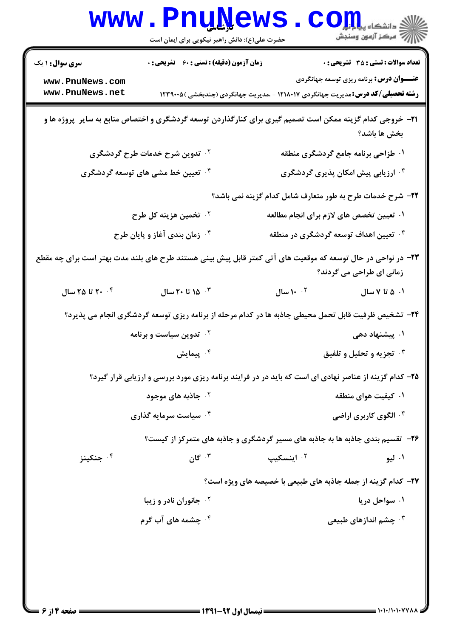|                                                             | <b>www.PnuNews</b><br>حضرت علی(ع): دانش راهبر نیکویی برای ایمان است | الله دانشکاه پیاپانی<br>ایران استخابی وسنجش                                                                                                 |        |
|-------------------------------------------------------------|---------------------------------------------------------------------|---------------------------------------------------------------------------------------------------------------------------------------------|--------|
| <b>سری سوال : ۱ یک</b>                                      | <b>زمان آزمون (دقیقه) : تستی : 60 ٪ تشریحی : 0</b>                  | <b>تعداد سوالات : تستی : 35 تشریحی : 0</b>                                                                                                  |        |
| www.PnuNews.com<br>www.PnuNews.net                          |                                                                     | <b>عنـــوان درس:</b> برنامه ریزی توسعه جهانگردی<br><b>رشته تحصیلی/کد درس:</b> مدیریت جهانگردی ۱۲۱۸۰۱۷ - ،مدیریت جهانگردی (چندبخشی ) ۱۲۳۹۰۰۵ |        |
|                                                             |                                                                     | <b>۳۱</b> - خروجی کدام گزینه ممکن است تصمیم گیری برای کنارگذاردن توسعه گردشگری و اختصاص منابع به سایر ۖ پروژه ها و<br>بخش ها باشد؟          |        |
|                                                             | <sup>۲</sup> ۰ تدوین شرح خدمات طرح گردشگری                          | ۰۱ طزاحی برنامه جامع گردشگری منطقه                                                                                                          |        |
| <sup>۴</sup> ۰ تعیین خط مشی های توسعه گردشگری               |                                                                     | ارزیابی پیش امکان پذیری گردشگری $\cdot$                                                                                                     |        |
|                                                             |                                                                     | <b>۲۲</b> – شرح خدمات طرح به طور متعارف شامل کدام گزینه <u>نمی</u> باشد؟                                                                    |        |
|                                                             | <sup>۲.</sup> تخمین هزینه کل طرح                                    | ۰۱ تعیین تخصص های لازم برای انجام مطالعه                                                                                                    |        |
|                                                             | ۰۴ زمان بندی آغاز و پایان طرح                                       | تعیین اهداف توسعه گردشگری در منطقه $\cdot$                                                                                                  |        |
|                                                             |                                                                     | ۲۳– در نواحی در حال توسعه که موقعیت های آتی کمتر قابل پیش بینی هستند طرح های بلند مدت بهتر است برای چه مقطع<br>زمانی ای طراحی می گردند؟     |        |
| تا ۲۵ سال $\mathfrak{r}\mathfrak{c}\;$ سال $\mathfrak{r}\;$ | ا ۲۰ تا ۲۰ $\mathfrak{h}$ سال $\mathfrak{g}$ .                      | ۰۲ <b>۱۰ سال</b><br>۰۱ ۵ تا ۷ سال                                                                                                           |        |
|                                                             |                                                                     | ۲۴- تشخیص ظرفیت قابل تحمل محیطی جاذبه ها در کدام مرحله از برنامه ریزی توسعه گردشگری انجام می پذیرد؟                                         |        |
|                                                             | ۰۲ تدوین سیاست و برنامه                                             | ۰۱ پیشنهاد دهی                                                                                                                              |        |
|                                                             | بيمايش $\cdot$ $^{\mathsf{f}}$                                      | <b>4. تجزيه و تحليل و تلفيق</b>                                                                                                             |        |
|                                                             |                                                                     | ۲۵- کدام گزینه از عناصر نهادی ای است که باید در در فرایند برنامه ریزی مورد بررسی و ارزیابی قرار گیرد؟                                       |        |
|                                                             | <sup>۲ .</sup> جاذبه های موجود                                      | ۰۱ کیفیت هوای منطقه                                                                                                                         |        |
|                                                             | ۰۴ سیاست سرمایه گذاری                                               | ۰ <sup>۳ ا</sup> لگوی کاربری اراضی                                                                                                          |        |
|                                                             |                                                                     | ۲۶- تقسیم بندی جاذبه ها به جاذبه های مسیر گردشگری و جاذبه های متمرکز از کیست؟                                                               |        |
| ۰۴ جنکینز                                                   | ۰۳ گان $\cdot$                                                      | ۰۲ اینسکیپ                                                                                                                                  | ۰۱ ليو |
|                                                             |                                                                     | ٢٧- كدام گزينه از جمله جاذبه هاي طبيعي با خصيصه هاي ويژه است؟                                                                               |        |
|                                                             | ۰۲ جانوران نادر و زیبا                                              | ۰۱ سواحل دریا                                                                                                                               |        |
|                                                             | ۰ <sup>۴</sup> چشمه های آب گرم                                      | ۰ <sup>۳</sup> چشم اندازهای طبیعی                                                                                                           |        |
|                                                             |                                                                     |                                                                                                                                             |        |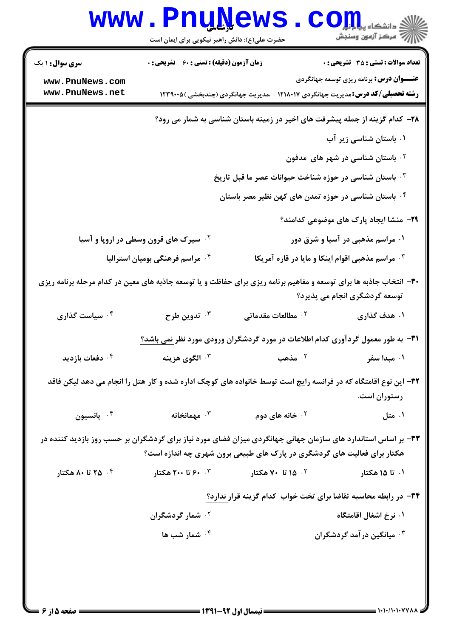| <b>WWW</b>                         | <b>Lunivemp</b><br>حضرت علی(ع): دانش راهبر نیکویی برای ایمان است |                                                                                                                    | ڪ دانشڪاه پ <b>يا با وار</b><br>ر <i>7</i> مرکز آزمون وسنجش        |
|------------------------------------|------------------------------------------------------------------|--------------------------------------------------------------------------------------------------------------------|--------------------------------------------------------------------|
| <b>سری سوال : ۱ یک</b>             | <b>زمان آزمون (دقیقه) : تستی : 60 ٪ تشریحی : 0</b>               |                                                                                                                    | <b>تعداد سوالات : تستی : 35 تشریحی : 0</b>                         |
| www.PnuNews.com<br>www.PnuNews.net |                                                                  | <b>رشته تحصیلی/کد درس:</b> مدیریت جهانگردی ۱۲۱۸۰۱۷ - ،مدیریت جهانگردی (چندبخشی ) ۱۲۳۹۰۰۵                           | <b>عنـــوان درس:</b> برنامه ریزی توسعه جهانگردی                    |
|                                    |                                                                  | ۲۸- کدام گزینه از جمله پیشرفت های اخیر در زمینه باستان شناسی به شمار می رود؟                                       |                                                                    |
|                                    |                                                                  |                                                                                                                    | ۰۱ باستان شناسی زیر آب                                             |
|                                    |                                                                  |                                                                                                                    | ا باستان شناسی در شهر های ًمدفون $\cdot$                           |
|                                    |                                                                  | ۰۳ باستان شناسی در حوزه شناخت حیوانات عصر ما قبل تاریخ                                                             |                                                                    |
|                                    |                                                                  | ۰۴ باستان شناسی در حوزه تمدن های کهن نظیر مصر باستان                                                               |                                                                    |
|                                    |                                                                  |                                                                                                                    | <b>۲۹</b> - منشا ایجاد پارک های موضوعی کدامند؟                     |
|                                    | <sup>۲</sup> ۰ سیرک های قرون وسطی در اروپا و آسیا                |                                                                                                                    | ۰۱ مراسم مذهبی در آسیا و شرق دور                                   |
|                                    | ۰۴ مراسم فرهنگی بومیان استرالیا                                  |                                                                                                                    | هراسم مذهبی اقوام اینکا و مایا در قاره آمریکا $\cdot^{\mathrm{y}}$ |
|                                    |                                                                  | ۳۰- انتخاب جاذبه ها برای توسعه و مفاهیم برنامه ریزی برای حفاظت و یا توسعه جاذبه های معین در کدام مرحله برنامه ریزی | توسعه گردشگری انجام می پذیرد؟                                      |
| ۰۴ سیاست گذاری                     | ۰۳ تدوین طرح                                                     | ۰ <sup>۲</sup> مطالعات مقدماتی                                                                                     | ۰۱ هدف گذاری                                                       |
|                                    |                                                                  | ۳۱– به طور معمول گردآوری کدام اطلاعات در مورد گردشگران ورودی مورد نظر <u>نمی باشد؟</u>                             |                                                                    |
| ۰ <sup>۲</sup> دفعات بازدید        | ۰ <sup>۳</sup> الگوی هزینه                                       | ۰۲ مذهب                                                                                                            | ۰۱ میدا سفر                                                        |
|                                    |                                                                  | ۳۲– این نوع اقامتگاه که در فرانسه رایج است توسط خانواده های کوچک اداره شده و کار هتل را انجام می دهد لیکن فاقد     | رستوران است.                                                       |
| ۰۴ پانسیون                         | مهمانخانه $\cdot$ "                                              | ۰ <sup>۲</sup> خانه های دوم                                                                                        | ۰۱ متل                                                             |
|                                    |                                                                  | ۳۳- بر اساس استاندارد های سازمان جهانی جهانگردی میزان فضای مورد نیاز برای گردشگران بر حسب روز بازدید کننده در      |                                                                    |
|                                    |                                                                  | هکتار برای فعالیت های گردشگری در پارک های طبیعی برون شهری چه اندازه است؟                                           |                                                                    |
| ۰۴ تا ۸۰ هکتار                     | ۰۳ ۶۰ تا ۲۰۰ هکتار                                               | ۰۲ ۱۵ تا ۷۰ هکتار                                                                                                  | ۰۱ تا ۱۵ هکتار                                                     |
|                                    |                                                                  | ۳۴- در رابطه محاسبه تقاضا برای تخت خواب کدام گزینه قرار ندارد؟                                                     |                                                                    |
|                                    | ۰ <sup>۲</sup> شمار گردشگران                                     |                                                                                                                    | ۰۱ نرخ اشغال اقامتگاه                                              |
|                                    | ۰۴ شمار شب ها                                                    |                                                                                                                    | ۰۳ میانگین در آمد گردشگران                                         |
|                                    |                                                                  |                                                                                                                    |                                                                    |